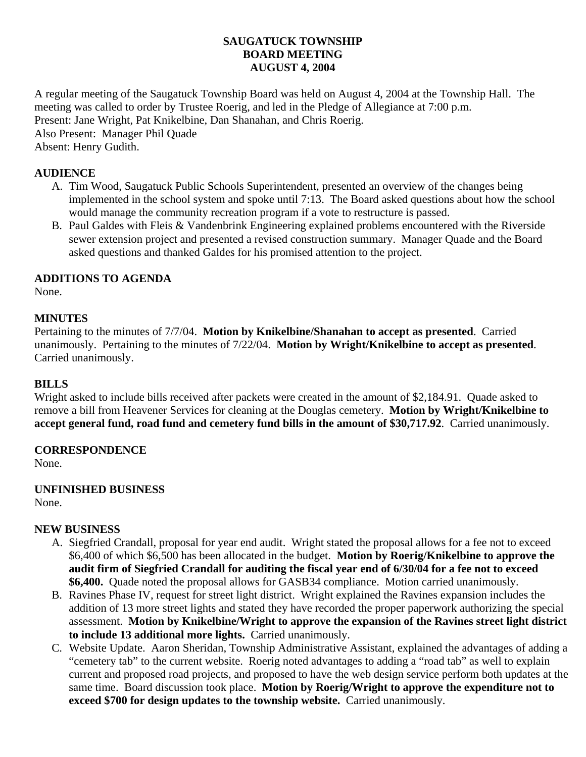## **SAUGATUCK TOWNSHIP BOARD MEETING AUGUST 4, 2004**

A regular meeting of the Saugatuck Township Board was held on August 4, 2004 at the Township Hall. The meeting was called to order by Trustee Roerig, and led in the Pledge of Allegiance at 7:00 p.m. Present: Jane Wright, Pat Knikelbine, Dan Shanahan, and Chris Roerig. Also Present: Manager Phil Quade Absent: Henry Gudith.

## **AUDIENCE**

- A. Tim Wood, Saugatuck Public Schools Superintendent, presented an overview of the changes being implemented in the school system and spoke until 7:13. The Board asked questions about how the school would manage the community recreation program if a vote to restructure is passed.
- B. Paul Galdes with Fleis & Vandenbrink Engineering explained problems encountered with the Riverside sewer extension project and presented a revised construction summary. Manager Quade and the Board asked questions and thanked Galdes for his promised attention to the project.

## **ADDITIONS TO AGENDA**

None.

## **MINUTES**

Pertaining to the minutes of 7/7/04. **Motion by Knikelbine/Shanahan to accept as presented**. Carried unanimously. Pertaining to the minutes of 7/22/04. **Motion by Wright/Knikelbine to accept as presented**. Carried unanimously.

## **BILLS**

Wright asked to include bills received after packets were created in the amount of \$2,184.91. Quade asked to remove a bill from Heavener Services for cleaning at the Douglas cemetery. **Motion by Wright/Knikelbine to accept general fund, road fund and cemetery fund bills in the amount of \$30,717.92**. Carried unanimously.

## **CORRESPONDENCE**

None.

# **UNFINISHED BUSINESS**

None.

## **NEW BUSINESS**

- A. Siegfried Crandall, proposal for year end audit. Wright stated the proposal allows for a fee not to exceed \$6,400 of which \$6,500 has been allocated in the budget. **Motion by Roerig/Knikelbine to approve the audit firm of Siegfried Crandall for auditing the fiscal year end of 6/30/04 for a fee not to exceed \$6,400.** Quade noted the proposal allows for GASB34 compliance. Motion carried unanimously.
- B. Ravines Phase IV, request for street light district. Wright explained the Ravines expansion includes the addition of 13 more street lights and stated they have recorded the proper paperwork authorizing the special assessment. **Motion by Knikelbine/Wright to approve the expansion of the Ravines street light district to include 13 additional more lights.** Carried unanimously.
- C. Website Update. Aaron Sheridan, Township Administrative Assistant, explained the advantages of adding a "cemetery tab" to the current website. Roerig noted advantages to adding a "road tab" as well to explain current and proposed road projects, and proposed to have the web design service perform both updates at the same time. Board discussion took place. **Motion by Roerig/Wright to approve the expenditure not to exceed \$700 for design updates to the township website.** Carried unanimously.